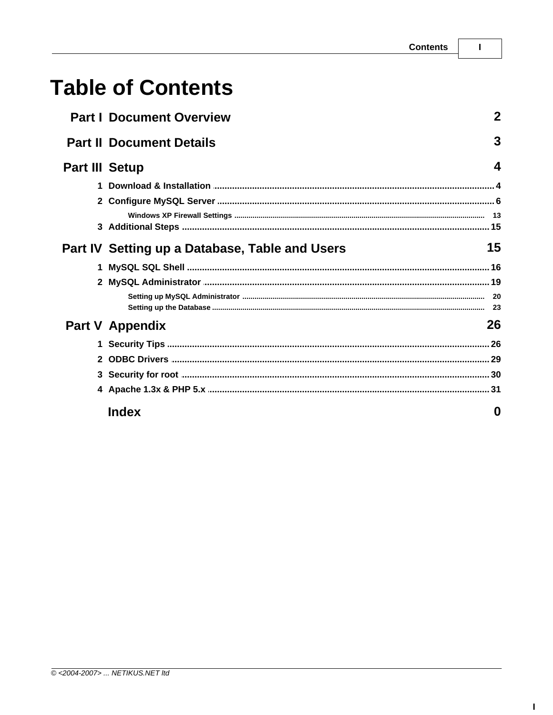# **Table of Contents**

|                       | <b>Part I Document Overview</b>                | 2  |
|-----------------------|------------------------------------------------|----|
|                       | <b>Part II Document Details</b>                | 3  |
| <b>Part III Setup</b> |                                                | 4  |
|                       |                                                |    |
|                       |                                                |    |
|                       |                                                |    |
|                       |                                                |    |
|                       | Part IV Setting up a Database, Table and Users | 15 |
|                       |                                                |    |
|                       |                                                |    |
|                       |                                                |    |
|                       | <b>Part V Appendix</b>                         | 26 |
|                       |                                                |    |
|                       |                                                |    |
|                       |                                                |    |
|                       |                                                |    |
|                       | <b>Index</b>                                   | 0  |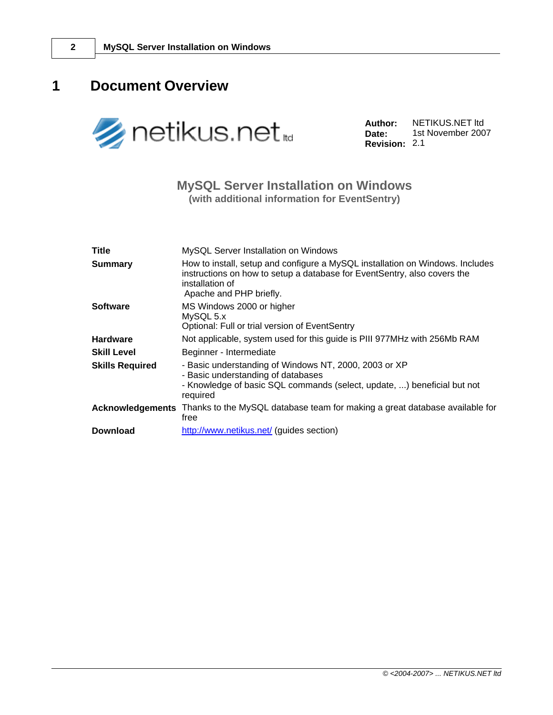# <span id="page-1-0"></span>**1 Document Overview**



**Author: Date: Revision:** 2.1 NETIKUS.NET ltd 1st November 2007

### **MySQL Server Installation on Windows (with additional information for EventSentry)**

| <b>Title</b>            | MySQL Server Installation on Windows                                                                                                                                                                    |
|-------------------------|---------------------------------------------------------------------------------------------------------------------------------------------------------------------------------------------------------|
| <b>Summary</b>          | How to install, setup and configure a MySQL installation on Windows. Includes<br>instructions on how to setup a database for EventSentry, also covers the<br>installation of<br>Apache and PHP briefly. |
| <b>Software</b>         | MS Windows 2000 or higher<br>MySQL 5.x<br>Optional: Full or trial version of EventSentry                                                                                                                |
| <b>Hardware</b>         | Not applicable, system used for this guide is PIII 977MHz with 256Mb RAM                                                                                                                                |
| <b>Skill Level</b>      | Beginner - Intermediate                                                                                                                                                                                 |
| <b>Skills Required</b>  | - Basic understanding of Windows NT, 2000, 2003 or XP<br>- Basic understanding of databases<br>- Knowledge of basic SQL commands (select, update, ) beneficial but not<br>required                      |
| <b>Acknowledgements</b> | Thanks to the MySQL database team for making a great database available for<br>free                                                                                                                     |
| <b>Download</b>         | http://www.netikus.net/ (guides section)                                                                                                                                                                |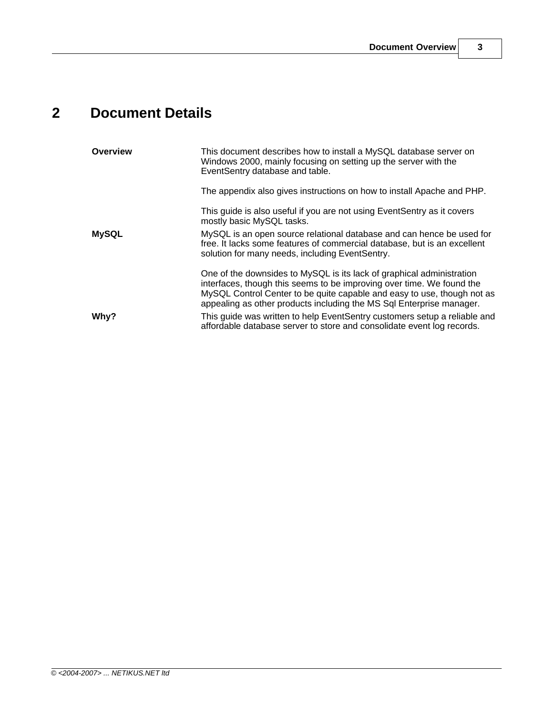# <span id="page-2-0"></span>**2 Document Details**

| Overview     | This document describes how to install a MySQL database server on<br>Windows 2000, mainly focusing on setting up the server with the<br>EventSentry database and table.                                                                                                                           |
|--------------|---------------------------------------------------------------------------------------------------------------------------------------------------------------------------------------------------------------------------------------------------------------------------------------------------|
|              | The appendix also gives instructions on how to install Apache and PHP.                                                                                                                                                                                                                            |
|              | This guide is also useful if you are not using EventSentry as it covers<br>mostly basic MySQL tasks.                                                                                                                                                                                              |
| <b>MySQL</b> | MySQL is an open source relational database and can hence be used for<br>free. It lacks some features of commercial database, but is an excellent<br>solution for many needs, including EventSentry.                                                                                              |
|              | One of the downsides to MySQL is its lack of graphical administration<br>interfaces, though this seems to be improving over time. We found the<br>MySQL Control Center to be quite capable and easy to use, though not as<br>appealing as other products including the MS Sql Enterprise manager. |
| Why?         | This guide was written to help EventSentry customers setup a reliable and<br>affordable database server to store and consolidate event log records.                                                                                                                                               |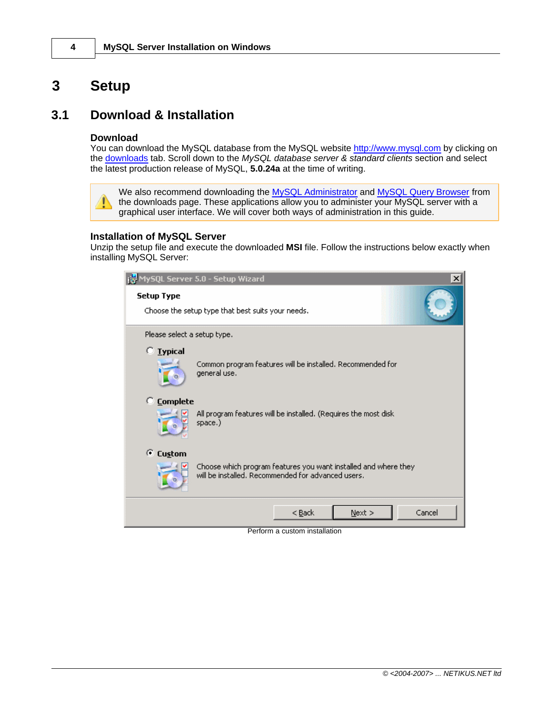# <span id="page-3-0"></span>**3 Setup**

### **3.1 Download & Installation**

### **Download**

You can download the MySQL database from the MySQL website <http://www.mysql.com> by clicking on the [downloads](http://dev.mysql.com/downloads/index.html) tab. Scroll down to the *MySQL database server & standard clients* section and select the latest production release of MySQL, **5.0.24a** at the time of writing.

We also recommend downloading the [MySQL Administrator](http://dev.mysql.com/downloads/administrator/index.html) and [MySQL Query Browser](http://dev.mysql.com/downloads/query-browser/index.html) from  $\mathbb{A}$ the downloads page. These applications allow you to administer your MySQL server with a graphical user interface. We will cover both ways of administration in this guide.

### **Installation of MySQL Server**

Unzip the setup file and execute the downloaded **MSI** file. Follow the instructions below exactly when installing MySQL Server:

|                             | it MySQL Server 5.0 - Setup Wizard<br>$\vert x \vert$                                                                 |
|-----------------------------|-----------------------------------------------------------------------------------------------------------------------|
| <b>Setup Type</b>           | Choose the setup type that best suits your needs.                                                                     |
| Please select a setup type. |                                                                                                                       |
| $\degree$ Lypical           | Common program features will be installed. Recommended for<br>general use.                                            |
| $\heartsuit$ Complete       | All program features will be installed. (Requires the most disk<br>space.)                                            |
| C Custom                    | Choose which program features you want installed and where they<br>will be installed. Recommended for advanced users. |
|                             | Cancel<br>$N$ ext ><br>< <u>B</u> ack                                                                                 |

Perform a custom installation

*© <2004-2007> ... NETIKUS.NET ltd*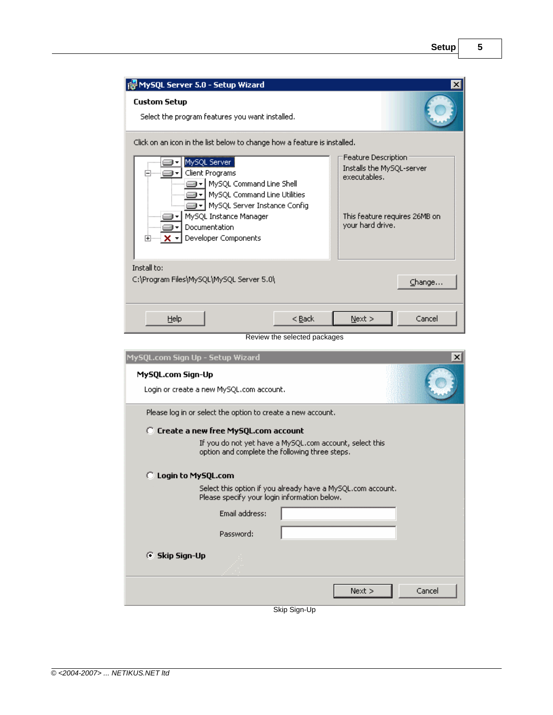| re MySQL Server 5.0 - Setup Wizard                                                                                                                                                                                                                                                                  |                              |                                                                                                                       | x      |
|-----------------------------------------------------------------------------------------------------------------------------------------------------------------------------------------------------------------------------------------------------------------------------------------------------|------------------------------|-----------------------------------------------------------------------------------------------------------------------|--------|
| <b>Custom Setup</b><br>Select the program features you want installed.                                                                                                                                                                                                                              |                              |                                                                                                                       |        |
| Click on an icon in the list below to change how a feature is installed.<br>MySQL Server  <br>Client Programs<br>MySQL Command Line Shell<br>MySQL Command Line Utilities<br>▼ MySQL Server Instance Config<br>MySQL Instance Manager<br>Documentation<br>Developer Components<br>⊞ <sup>……</sup> X |                              | Feature Description<br>Installs the MySQL-server<br>executables.<br>This feature requires 26MB on<br>your hard drive. |        |
| Install to:<br>C:\Program Files\MySQL\MySQL Server 5.0\                                                                                                                                                                                                                                             |                              |                                                                                                                       | Change |
| Help                                                                                                                                                                                                                                                                                                | < <u>B</u> ack               | $N$ ext >                                                                                                             | Cancel |
|                                                                                                                                                                                                                                                                                                     | Review the selected packages |                                                                                                                       |        |

| MySQL.com Sign Up - Setup Wizard                              | $\vert x \vert$                                                                                             |
|---------------------------------------------------------------|-------------------------------------------------------------------------------------------------------------|
| MySQL.com Sign-Up<br>Login or create a new MySQL.com account. |                                                                                                             |
| Please log in or select the option to create a new account.   |                                                                                                             |
| C Create a new free MySQL.com account                         |                                                                                                             |
|                                                               | If you do not yet have a MySQL.com account, select this<br>option and complete the following three steps.   |
| C Login to MySQL.com                                          |                                                                                                             |
|                                                               | Select this option if you already have a MySQL.com account.<br>Please specify your login information below. |
| Email address:                                                |                                                                                                             |
| Password:                                                     |                                                                                                             |
| ⊙ Skip Sign-Up                                                |                                                                                                             |
|                                                               | Cancel<br>Next >                                                                                            |
|                                                               | Skip Sign-Up                                                                                                |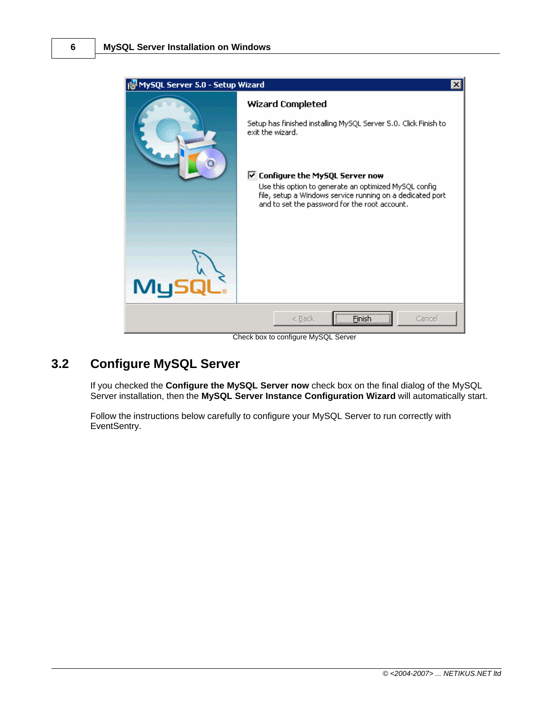

Check box to configure MySQL Server

# <span id="page-5-0"></span>**3.2 Configure MySQL Server**

If you checked the **Configure the MySQL Server now** check box on the final dialog of the MySQL Server installation, then the **MySQL Server Instance Configuration Wizard** will automatically start.

Follow the instructions below carefully to configure your MySQL Server to run correctly with EventSentry.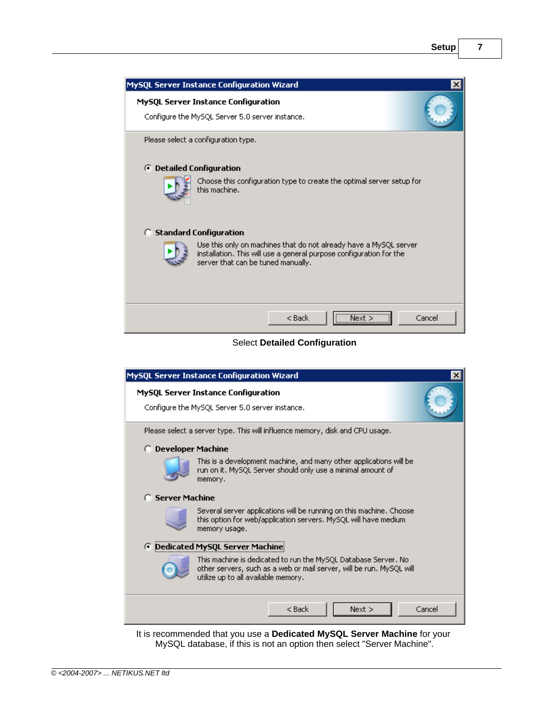| MySQL Server Instance Configuration Wizard                                                                                                                                     | ×      |
|--------------------------------------------------------------------------------------------------------------------------------------------------------------------------------|--------|
| <b>MySQL Server Instance Configuration</b><br>Configure the MySQL Server 5.0 server instance.                                                                                  |        |
| Please select a configuration type.                                                                                                                                            |        |
| ⊙ Detailed Configuration                                                                                                                                                       |        |
| Choose this configuration type to create the optimal server setup for<br>this machine.                                                                                         |        |
| <b>C</b> Standard Configuration                                                                                                                                                |        |
| Use this only on machines that do not already have a MySQL server<br>installation. This will use a general purpose configuration for the<br>server that can be tuned manually. |        |
| Next ><br>$<$ Back                                                                                                                                                             | Cancel |

### Select **Detailed Configuration**

|                            | MySQL Server Instance Configuration Wizard                                                                                                                                    |  |
|----------------------------|-------------------------------------------------------------------------------------------------------------------------------------------------------------------------------|--|
|                            | <b>MySQL Server Instance Configuration</b><br>Configure the MySQL Server 5.0 server instance.                                                                                 |  |
|                            | Please select a server type. This will influence memory, disk and CPU usage.                                                                                                  |  |
| <b>C</b> Developer Machine |                                                                                                                                                                               |  |
|                            | This is a development machine, and many other applications will be<br>run on it. MySQL Server should only use a minimal amount of<br>memory.                                  |  |
| <b>C</b> Server Machine    |                                                                                                                                                                               |  |
|                            | Several server applications will be running on this machine. Choose<br>this option for web/application servers. MySQL will have medium<br>memory usage.                       |  |
|                            | <b>E</b> Dedicated MySQL Server Machine                                                                                                                                       |  |
|                            | This machine is dedicated to run the MySQL Database Server. No<br>other servers, such as a web or mail server, will be run. MySQL will<br>utilize up to all available memory. |  |
|                            | Cancel<br>$<$ Back<br>Next >                                                                                                                                                  |  |

It is recommended that you use a **Dedicated MySQL Server Machine** for your MySQL database, if this is not an option then select "Server Machine".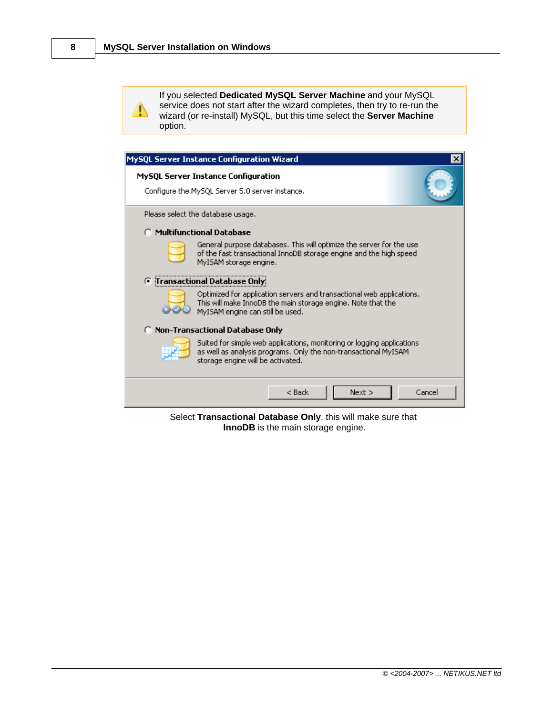⚠

If you selected **Dedicated MySQL Server Machine** and your MySQL service does not start after the wizard completes, then try to re-run the wizard (or re-install) MySQL, but this time select the **Server Machine** option.

| MySQL Server Instance Configuration Wizard                                                                                                                                      |        |
|---------------------------------------------------------------------------------------------------------------------------------------------------------------------------------|--------|
| <b>MySQL Server Instance Configuration</b><br>Configure the MySQL Server 5.0 server instance.                                                                                   |        |
| Please select the database usage.                                                                                                                                               |        |
| <b>C</b> Multifunctional Database                                                                                                                                               |        |
| General purpose databases. This will optimize the server for the use<br>of the fast transactional InnoDB storage engine and the high speed<br>MyISAM storage engine.            |        |
| <b>Transactional Database Only</b><br>G                                                                                                                                         |        |
| Optimized for application servers and transactional web applications.<br>This will make InnoDB the main storage engine. Note that the<br>MyISAM engine can still be used.       |        |
| C Non-Transactional Database Only                                                                                                                                               |        |
| Suited for simple web applications, monitoring or logging applications<br>as well as analysis programs. Only the non-transactional MyISAM.<br>storage engine will be activated. |        |
| $<$ Back<br>Next >                                                                                                                                                              | Cancel |

Select **Transactional Database Only**, this will make sure that **InnoDB** is the main storage engine.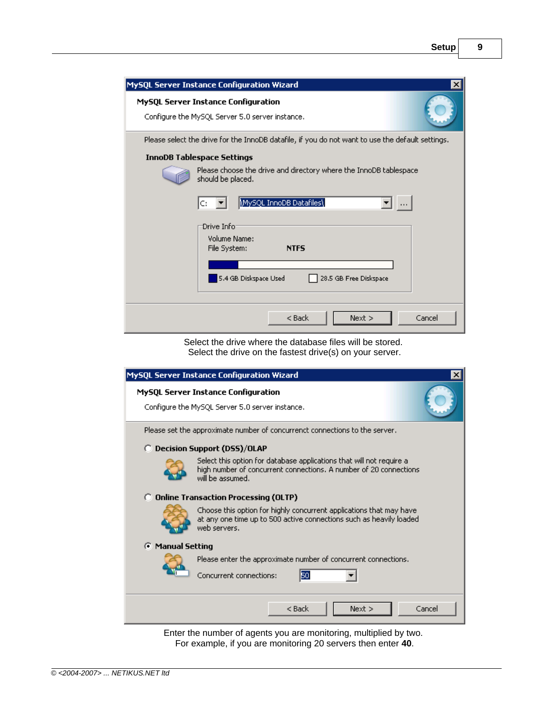| MySQL Server Instance Configuration Wizard<br>$\vert x \vert$                                                                                                                                                                                                                         |
|---------------------------------------------------------------------------------------------------------------------------------------------------------------------------------------------------------------------------------------------------------------------------------------|
| <b>MySQL Server Instance Configuration</b><br>Configure the MySQL Server 5.0 server instance.                                                                                                                                                                                         |
| Please select the drive for the InnoDB datafile, if you do not want to use the default settings.<br><b>InnoDB Tablespace Settings</b><br>Please choose the drive and directory where the InnoDB tablespace<br>should be placed.<br>MySQL InnoDB Datafiles\<br>C:<br>$\mathbf{r}$ is a |
| Drive Info:<br>Volume Name:<br>File System:<br><b>NTFS</b><br>5.4 GB Diskspace Used<br>28.5 GB Free Diskspace                                                                                                                                                                         |
| $<$ Back<br>Cancel<br>Next                                                                                                                                                                                                                                                            |

Select the drive where the database files will be stored. Select the drive on the fastest drive(s) on your server.

|                                                                                                                                                             | MySQL Server Instance Configuration Wizard                                                                                                                    |  |
|-------------------------------------------------------------------------------------------------------------------------------------------------------------|---------------------------------------------------------------------------------------------------------------------------------------------------------------|--|
|                                                                                                                                                             | MySQL Server Instance Configuration<br>Configure the MySQL Server 5.0 server instance.                                                                        |  |
|                                                                                                                                                             | Please set the approximate number of concurrenct connections to the server.                                                                                   |  |
|                                                                                                                                                             | <b>C</b> Decision Support (DSS)/OLAP                                                                                                                          |  |
|                                                                                                                                                             | Select this option for database applications that will not require a<br>high number of concurrent connections. A number of 20 connections<br>will be assumed. |  |
|                                                                                                                                                             | <b>C</b> Online Transaction Processing (OLTP)                                                                                                                 |  |
| Choose this option for highly concurrent applications that may have<br>at any one time up to 500 active connections such as heavily loaded.<br>web servers. |                                                                                                                                                               |  |
| <b>C</b> Manual Setting                                                                                                                                     |                                                                                                                                                               |  |
|                                                                                                                                                             | Please enter the approximate number of concurrent connections.<br>50<br>Concurrent connections:                                                               |  |
|                                                                                                                                                             |                                                                                                                                                               |  |
|                                                                                                                                                             | Next<br>Cancel<br>$<$ Back                                                                                                                                    |  |

Enter the number of agents you are monitoring, multiplied by two. For example, if you are monitoring 20 servers then enter **40**.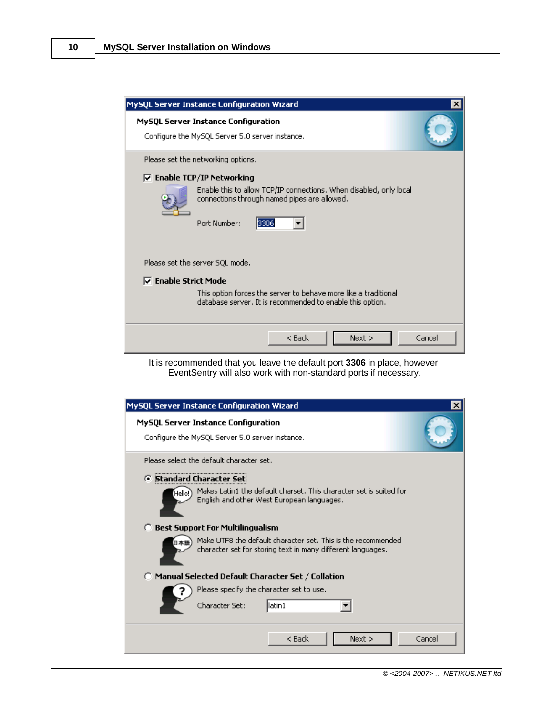| MySQL Server Instance Configuration Wizard                                                                                                                                                                            | ×      |  |
|-----------------------------------------------------------------------------------------------------------------------------------------------------------------------------------------------------------------------|--------|--|
| MySQL Server Instance Configuration<br>Configure the MySQL Server 5.0 server instance.                                                                                                                                |        |  |
| Please set the networking options.<br>$\nabla$ Enable TCP/IP Networking<br>Enable this to allow TCP/IP connections. When disabled, only local<br>connections through named pipes are allowed.<br>Port Number:<br>3306 |        |  |
| Please set the server SQL mode.<br>$\nabla$ Enable Strict Mode<br>This option forces the server to behave more like a traditional<br>database server. It is recommended to enable this option.                        |        |  |
| $<$ Back<br>$Next$ >                                                                                                                                                                                                  | Cancel |  |

It is recommended that you leave the default port **3306** in place, however EventSentry will also work with non-standard ports if necessary.

| <b>MySQL Server Instance Configuration Wizard</b>                                                                           | $\times$ |
|-----------------------------------------------------------------------------------------------------------------------------|----------|
| MySQL Server Instance Configuration<br>Configure the MySQL Server 5.0 server instance.                                      |          |
| Please select the default character set.<br><b>6</b> Standard Character Set                                                 |          |
| Makes Latin1 the default charset. This character set is suited for<br>Hello!)<br>English and other West European languages. |          |
| <b>Best Support For Multilingualism</b>                                                                                     |          |
| Make UTF8 the default character set. This is the recommended<br>character set for storing text in many different languages. |          |
| Manual Selected Default Character Set / Collation                                                                           |          |
| Please specify the character set to use.                                                                                    |          |
| Character Set:<br>llatin 1                                                                                                  |          |
| $<$ Back<br>Next >                                                                                                          | Cancel   |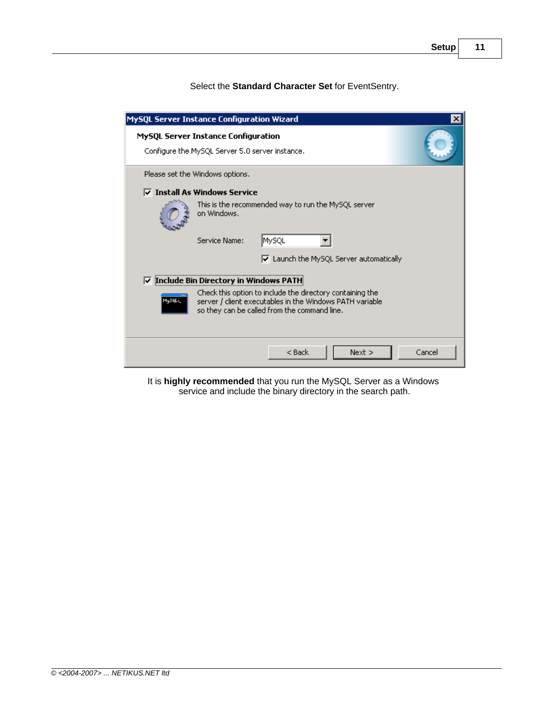Select the **Standard Character Set** for EventSentry.

|                    | MySQL Server Instance Configuration Wizard                                                                                                                            | ×      |
|--------------------|-----------------------------------------------------------------------------------------------------------------------------------------------------------------------|--------|
|                    | <b>MySQL Server Instance Configuration</b><br>Configure the MySQL Server 5.0 server instance.                                                                         |        |
|                    | Please set the Windows options.                                                                                                                                       |        |
|                    | $\triangledown$ Install As Windows Service                                                                                                                            |        |
|                    | This is the recommended way to run the MySQL server<br>on Windows.                                                                                                    |        |
|                    | MySQL<br>Service Name:                                                                                                                                                |        |
|                    | $\triangledown$ Launch the MySQL Server automatically                                                                                                                 |        |
| ⊽                  | Include Bin Directory in Windows PATH                                                                                                                                 |        |
| MySQL <sub>2</sub> | Check this option to include the directory containing the<br>server / client executables in the Windows PATH variable<br>so they can be called from the command line. |        |
|                    | $<$ Back<br>Next >                                                                                                                                                    | Cancel |

It is **highly recommended** that you run the MySQL Server as a Windows service and include the binary directory in the search path.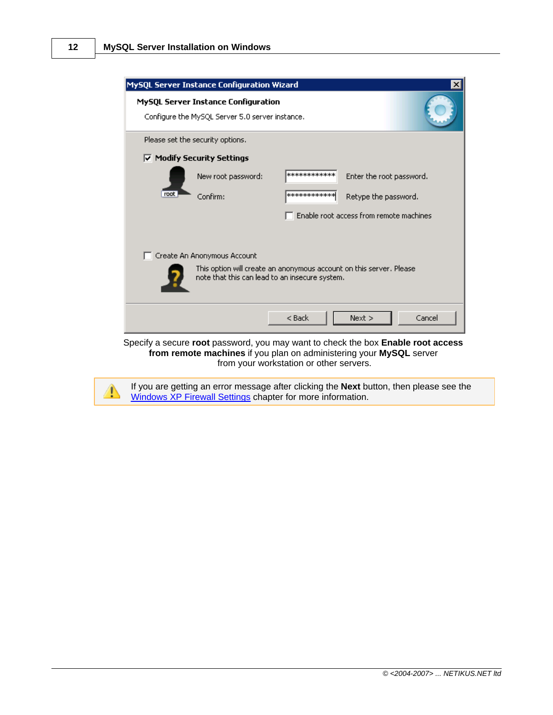|      | MySQL Server Instance Configuration Wizard                                                                            |               | ×                                       |
|------|-----------------------------------------------------------------------------------------------------------------------|---------------|-----------------------------------------|
|      | MySQL Server Instance Configuration<br>Configure the MySQL Server 5.0 server instance.                                |               |                                         |
|      | Please set the security options.                                                                                      |               |                                         |
|      | $\overline{\vee}$ Modify Security Settings                                                                            |               |                                         |
|      | New root password:                                                                                                    | ************* | Enter the root password.                |
| root | Confirm:                                                                                                              | ************  | Retype the password.                    |
|      |                                                                                                                       |               | Enable root access from remote machines |
|      | Create An Anonymous Account                                                                                           |               |                                         |
|      | This option will create an anonymous account on this server. Please<br>note that this can lead to an insecure system. |               |                                         |
|      |                                                                                                                       | $<$ Back      | Cancel<br>Next                          |

Specify a secure **root** password, you may want to check the box **Enable root access from remote machines** if you plan on administering your **MySQL** server from your workstation or other servers.

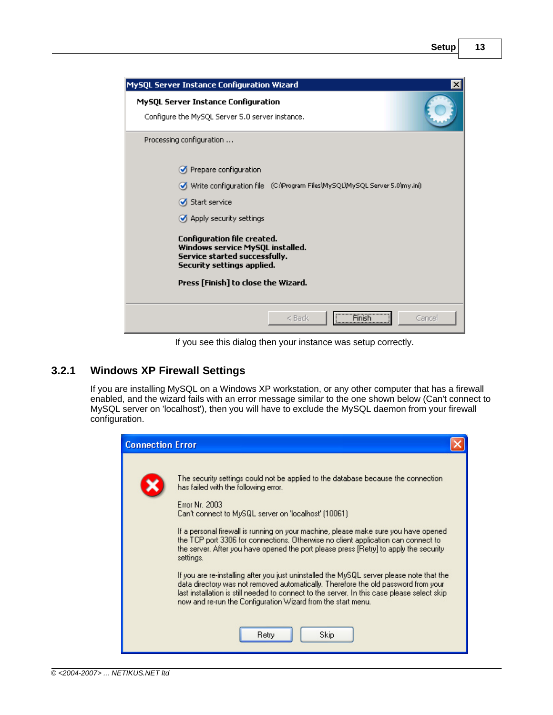| MySQL Server Instance Configuration Wizard                                                                                                                                   | $\vert x \vert$ |
|------------------------------------------------------------------------------------------------------------------------------------------------------------------------------|-----------------|
| MySQL Server Instance Configuration<br>Configure the MySQL Server 5.0 server instance.                                                                                       |                 |
| Processing configuration                                                                                                                                                     |                 |
| Prepare configuration                                                                                                                                                        |                 |
| Write confiquration file (C:)Program FilesWySQLWySQL Server 5.0\my.ini)                                                                                                      |                 |
| Start service                                                                                                                                                                |                 |
| Apply security settings                                                                                                                                                      |                 |
| <b>Configuration file created.</b><br>Windows service MySQL installed.<br>Service started successfully.<br>Security settings applied.<br>Press [Finish] to close the Wizard. |                 |
|                                                                                                                                                                              |                 |
| <b>Finish</b><br>Cancel<br>$<$ Back                                                                                                                                          |                 |

If you see this dialog then your instance was setup correctly.

# <span id="page-12-0"></span>**3.2.1 Windows XP Firewall Settings**

If you are installing MySQL on a Windows XP workstation, or any other computer that has a firewall enabled, and the wizard fails with an error message similar to the one shown below (Can't connect to MySQL server on 'localhost'), then you will have to exclude the MySQL daemon from your firewall configuration.

| <b>Connection Error</b> |                                                                                                                                                                                                                                                                                                                                                                                                                                                                                                                                                                                                                                                                                                                                                                                                                                                                    |
|-------------------------|--------------------------------------------------------------------------------------------------------------------------------------------------------------------------------------------------------------------------------------------------------------------------------------------------------------------------------------------------------------------------------------------------------------------------------------------------------------------------------------------------------------------------------------------------------------------------------------------------------------------------------------------------------------------------------------------------------------------------------------------------------------------------------------------------------------------------------------------------------------------|
|                         | The security settings could not be applied to the database because the connection.<br>has failed with the following error.<br><b>Error Nr. 2003</b><br>Can't connect to MySQL server on 'localhost' (10061)<br>If a personal firewall is running on your machine, please make sure you have opened.<br>the TCP port 3306 for connections. Otherwise no client application can connect to<br>the server. After you have opened the port please press [Retry] to apply the security<br>settings.<br>If you are re-installing after you just uninstalled the MySQL server please note that the<br>data directory was not removed automatically. Therefore the old password from your<br>last installation is still needed to connect to the server. In this case please select skip<br>now and re-run the Configuration Wizard from the start menu.<br>Skip.<br>Retry |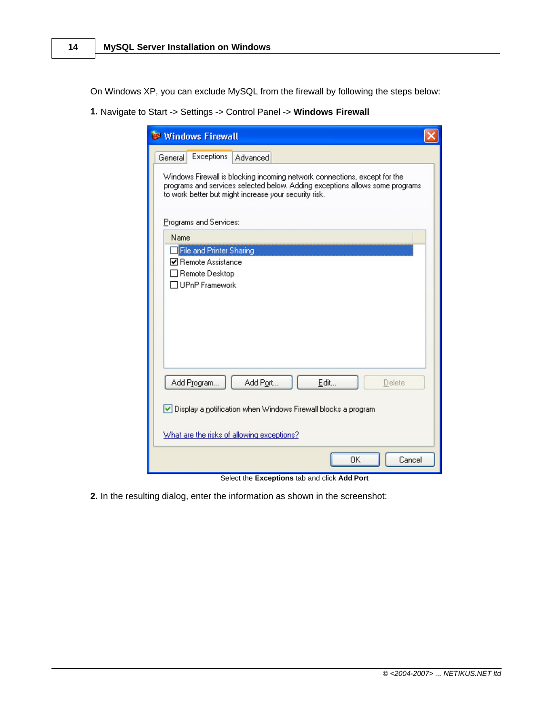On Windows XP, you can exclude MySQL from the firewall by following the steps below:

**1.** Navigate to Start -> Settings -> Control Panel -> **Windows Firewall**

| <b>Windows Firewall</b>                                                                                                                                                                                            |  |  |
|--------------------------------------------------------------------------------------------------------------------------------------------------------------------------------------------------------------------|--|--|
| <b>Exceptions</b><br><b>Advanced</b><br>General                                                                                                                                                                    |  |  |
| Windows Firewall is blocking incoming network connections, except for the<br>programs and services selected below. Adding exceptions allows some programs<br>to work better but might increase your security risk. |  |  |
| Programs and Services:                                                                                                                                                                                             |  |  |
| Name                                                                                                                                                                                                               |  |  |
| File and Printer Sharing<br><b>☑</b> Remote Assistance<br>□ Remote Desktop<br>TUPnP Framework                                                                                                                      |  |  |
| Add Program<br>Add Port<br>Edit<br>Delete                                                                                                                                                                          |  |  |
| ✔ Display a notification when Windows Firewall blocks a program                                                                                                                                                    |  |  |
| What are the risks of allowing exceptions?                                                                                                                                                                         |  |  |
| OK<br>Cancel                                                                                                                                                                                                       |  |  |

Select the **Exceptions** tab and click **Add Port**

**2.** In the resulting dialog, enter the information as shown in the screenshot: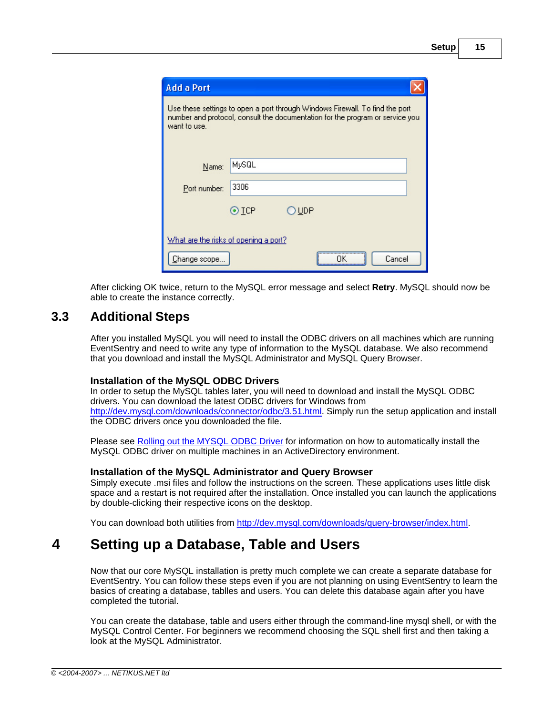| <b>Add a Port</b>                     |                                                                                                                                                               |  |
|---------------------------------------|---------------------------------------------------------------------------------------------------------------------------------------------------------------|--|
| want to use.                          | Use these settings to open a port through Windows Firewall. To find the port<br>number and protocol, consult the documentation for the program or service you |  |
| Name:                                 | MySQL                                                                                                                                                         |  |
| Port number:                          | 3306                                                                                                                                                          |  |
|                                       | $\odot$ TCP<br>) UDP                                                                                                                                          |  |
| What are the risks of opening a port? |                                                                                                                                                               |  |
| Change scope                          | Cancel                                                                                                                                                        |  |

After clicking OK twice, return to the MySQL error message and select **Retry**. MySQL should now be able to create the instance correctly.

### <span id="page-14-0"></span>**3.3 Additional Steps**

After you installed MySQL you will need to install the ODBC drivers on all machines which are running EventSentry and need to write any type of information to the MySQL database. We also recommend that you download and install the MySQL Administrator and MySQL Query Browser.

### **Installation of the MySQL ODBC Drivers**

In order to setup the MySQL tables later, you will need to download and install the MySQL ODBC drivers. You can download the latest ODBC drivers for Windows from <http://dev.mysql.com/downloads/connector/odbc/3.51.html>. Simply run the setup application and install the ODBC drivers once you downloaded the file.

Please see [Rolling out the MYSQL ODBC Driver](http://www.netikus.net/software/eventsentry/resourcesdbtipsmysqlodbc.htm) for information on how to automatically install the MySQL ODBC driver on multiple machines in an ActiveDirectory environment.

### **Installation of the MySQL Administrator and Query Browser**

Simply execute .msi files and follow the instructions on the screen. These applications uses little disk space and a restart is not required after the installation. Once installed you can launch the applications by double-clicking their respective icons on the desktop.

You can download both utilities from<http://dev.mysql.com/downloads/query-browser/index.html>.

# <span id="page-14-1"></span>**4 Setting up a Database, Table and Users**

Now that our core MySQL installation is pretty much complete we can create a separate database for EventSentry. You can follow these steps even if you are not planning on using EventSentry to learn the basics of creating a database, tablles and users. You can delete this database again after you have completed the tutorial.

You can create the database, table and users either through the command-line mysql shell, or with the MySQL Control Center. For beginners we recommend choosing the SQL shell first and then taking a look at the MySQL Administrator.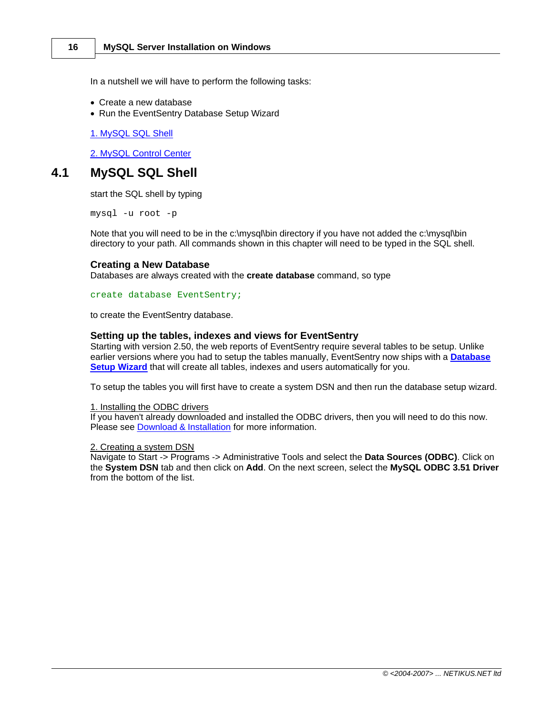In a nutshell we will have to perform the following tasks:

- · Create a new database
- · Run the EventSentry Database Setup Wizard

[1. MySQL SQL Shell](#page-15-0)

[2. MySQL Control Center](#page-18-0)

### <span id="page-15-0"></span>**4.1 MySQL SQL Shell**

start the SQL shell by typing

mysql -u root -p

Note that you will need to be in the c:\mysql\bin directory if you have not added the c:\mysql\bin directory to your path. All commands shown in this chapter will need to be typed in the SQL shell.

#### **Creating a New Database**

Databases are always created with the **create database** command, so type

create database EventSentry;

to create the EventSentry database.

#### **Setting up the tables, indexes and views for EventSentry**

Starting with version 2.50, the web reports of EventSentry require several tables to be setup. Unlike earlier versions where you had to setup the tables manually, EventSentry now ships with a **[Database](http://www.netikus.net/software/eventsentry/targetsodbcdbsetupwizard.htm) [Setup Wizard](http://www.netikus.net/software/eventsentry/targetsodbcdbsetupwizard.htm)** that will create all tables, indexes and users automatically for you.

To setup the tables you will first have to create a system DSN and then run the database setup wizard.

1. Installing the ODBC drivers

If you haven't already downloaded and installed the ODBC drivers, then you will need to do this now. Please see [Download & Installation](#page-3-0) for more information.

#### 2. Creating a system DSN

Navigate to Start -> Programs -> Administrative Tools and select the **Data Sources (ODBC)**. Click on the **System DSN** tab and then click on **Add**. On the next screen, select the **MySQL ODBC 3.51 Driver** from the bottom of the list.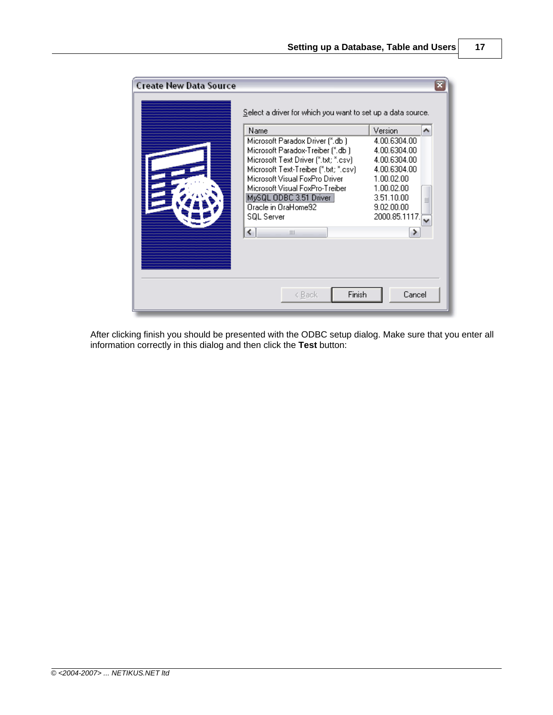

After clicking finish you should be presented with the ODBC setup dialog. Make sure that you enter all information correctly in this dialog and then click the **Test** button: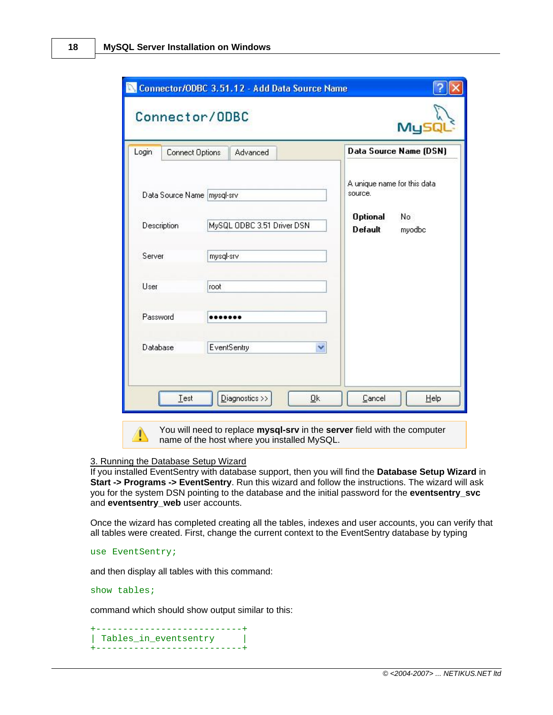| Login                        | Connect Options | Advanced                               |  |                                   | Data Source Name (DSN) |
|------------------------------|-----------------|----------------------------------------|--|-----------------------------------|------------------------|
| Data Source Name   mysql-srv |                 | A unique name for this data<br>source. |  |                                   |                        |
|                              | Description     | MySQL ODBC 3.51 Driver DSN             |  | <b>Optional</b><br><b>Default</b> | No<br>myodbc           |
| Server                       |                 | mysql-srv                              |  |                                   |                        |
| User                         |                 | root                                   |  |                                   |                        |
| Password                     |                 |                                        |  |                                   |                        |
| Database<br>EventSentry      |                 |                                        |  |                                   |                        |

### 3. Running the Database Setup Wizard

If you installed EventSentry with database support, then you will find the **Database Setup Wizard** in **Start -> Programs -> EventSentry**. Run this wizard and follow the instructions. The wizard will ask you for the system DSN pointing to the database and the initial password for the **eventsentry\_svc** and **eventsentry\_web** user accounts.

Once the wizard has completed creating all the tables, indexes and user accounts, you can verify that all tables were created. First, change the current context to the EventSentry database by typing

```
use EventSentry;
```
and then display all tables with this command:

#### show tables;

command which should show output similar to this:

```
+---------------------------+
| Tables_in_eventsentry |
 +---------------------------+
```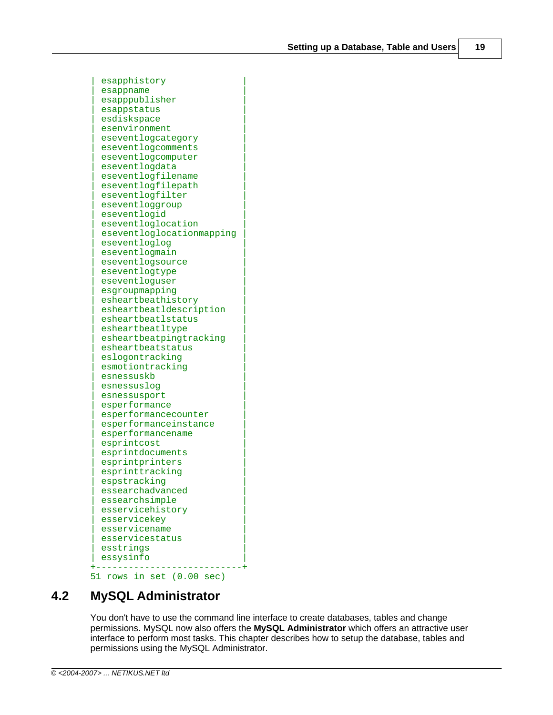esapphistory esappname esapppublisher | esappstatus | esdiskspace esenvironment | eseventlogcategory | eseventlogcomments eseventlogcomputer eseventlogdata eseventlogfilename eseventlogfilepath eseventlogfilter eseventloggroup eseventlogid | eseventloglocation | | eseventloglocationmapping | eseventloglog eseventlogmain eseventlogsource eseventlogtype eseventloguser esgroupmapping | esheartbeathistory | esheartbeatldescription | esheartbeatlstatus | esheartbeatltype esheartbeatpingtracking | esheartbeatstatus | eslogontracking esmotiontracking esnessuskb esnessuslog esnessusport esperformance esperformancecounter | esperformanceinstance | | esperformancename | esprintcost | esprintdocuments | esprintprinters esprinttracking espstracking | essearchadvanced | essearchsimple esservicehistory esservicekey esservicename | esservicestatus | esstrings essysinfo +---------------------------+ 51 rows in set (0.00 sec)

### <span id="page-18-0"></span>**4.2 MySQL Administrator**

You don't have to use the command line interface to create databases, tables and change permissions. MySQL now also offers the **MySQL Administrator** which offers an attractive user interface to perform most tasks. This chapter describes how to setup the database, tables and permissions using the MySQL Administrator.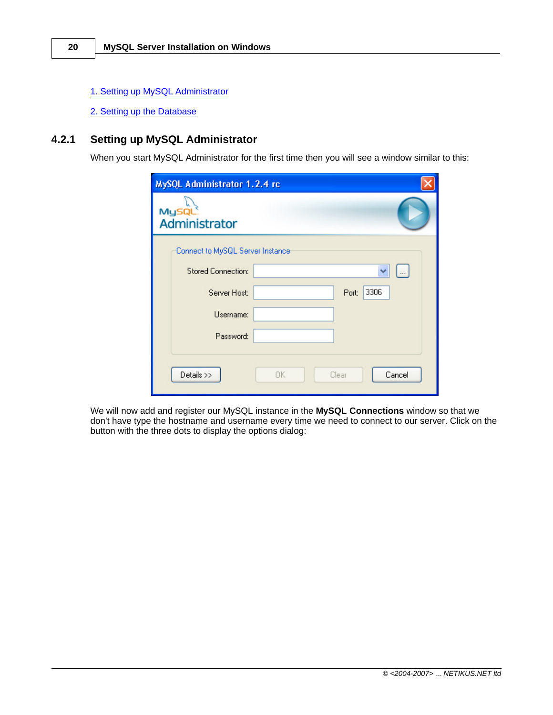- [1. Setting up MySQL Administrator](#page-19-0)
- [2. Setting up the Database](#page-22-0)

### <span id="page-19-0"></span>**4.2.1 Setting up MySQL Administrator**

When you start MySQL Administrator for the first time then you will see a window similar to this:

| MySQL Administrator 1.2.4 rc     |                       |
|----------------------------------|-----------------------|
| <b>MySQL</b><br>Administrator    |                       |
| Connect to MySQL Server Instance |                       |
| <b>Stored Connection:</b>        |                       |
| Server Host:                     | 3306<br>Port:         |
| Username:                        |                       |
| Password:                        |                       |
| Details >>                       | Cancel<br>0K<br>Clear |

We will now add and register our MySQL instance in the **MySQL Connections** window so that we don't have type the hostname and username every time we need to connect to our server. Click on the button with the three dots to display the options dialog: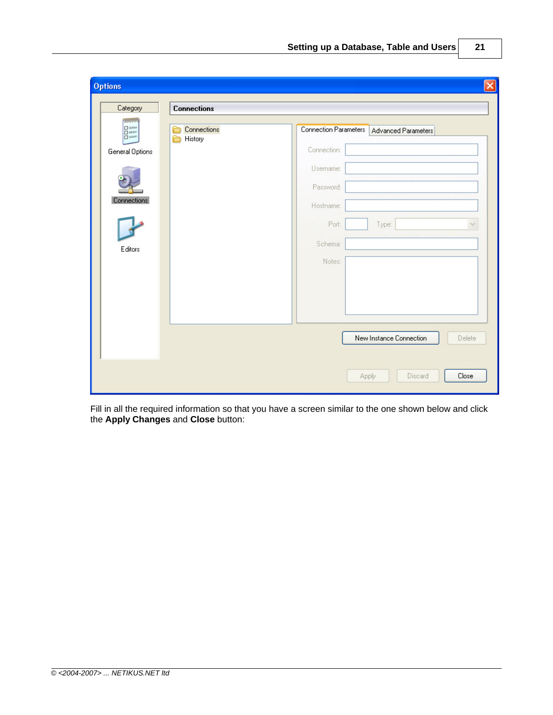| <b>Options</b><br>Category                                                                                                                              | <b>Connections</b>     |                                                                                                           | $\vert x \vert$                        |
|---------------------------------------------------------------------------------------------------------------------------------------------------------|------------------------|-----------------------------------------------------------------------------------------------------------|----------------------------------------|
| 222222<br>$\begin{array}{c}\n\Box \text{ option} \\ \Box \text{ A4dor} \\ \Box \text{ A4dor}\n\end{array}$<br>General Options<br>Connections<br>Editors | Connections<br>History | Connection Parameters<br>Connection:<br>Username:<br>Password:<br>Hostname:<br>Port:<br>Schema:<br>Notes: | Advanced Parameters<br>Type:<br>$\vee$ |
|                                                                                                                                                         |                        |                                                                                                           | New Instance Connection<br>Delete      |
|                                                                                                                                                         |                        |                                                                                                           | Close<br>Discard<br><b>Apply</b>       |

Fill in all the required information so that you have a screen similar to the one shown below and click the **Apply Changes** and **Close** button: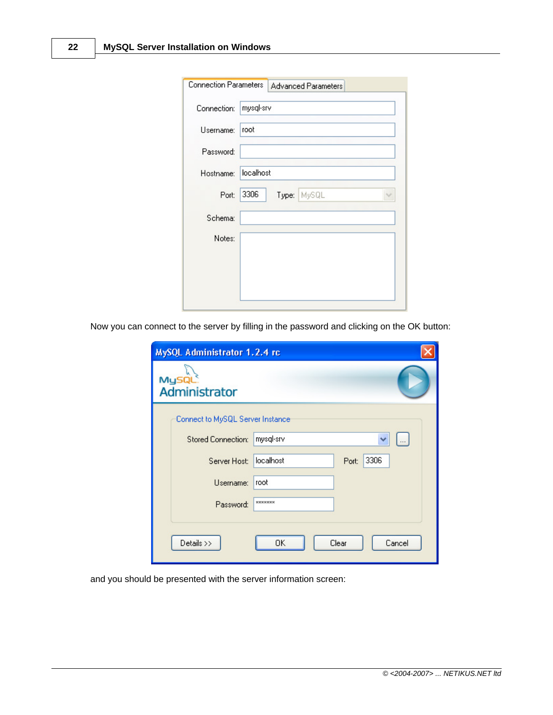| <b>Connection Parameters</b> | <b>Advanced Parameters</b> |
|------------------------------|----------------------------|
| Connection:                  | mysql-srv                  |
| Username:                    | root                       |
| Password:                    |                            |
| Hostname:                    | localhost                  |
| Port:                        | 3306<br>Type: MySQL        |
| Schema:                      |                            |
| Notes:                       |                            |
|                              |                            |
|                              |                            |
|                              |                            |

Now you can connect to the server by filling in the password and clicking on the OK button:

| MySQL Administrator 1.2.4 rc     |                            |
|----------------------------------|----------------------------|
| MySQL<br>Administrator           |                            |
| Connect to MySQL Server Instance |                            |
| <b>Stored Connection:</b>        | mysql-srv                  |
| Server Host:                     | localhost<br>3306<br>Port: |
| Username:                        | root                       |
| Password:                        | <b>xxxxxxxx</b>            |
| Details >>                       | OK<br>Clear<br>Cancel      |

and you should be presented with the server information screen: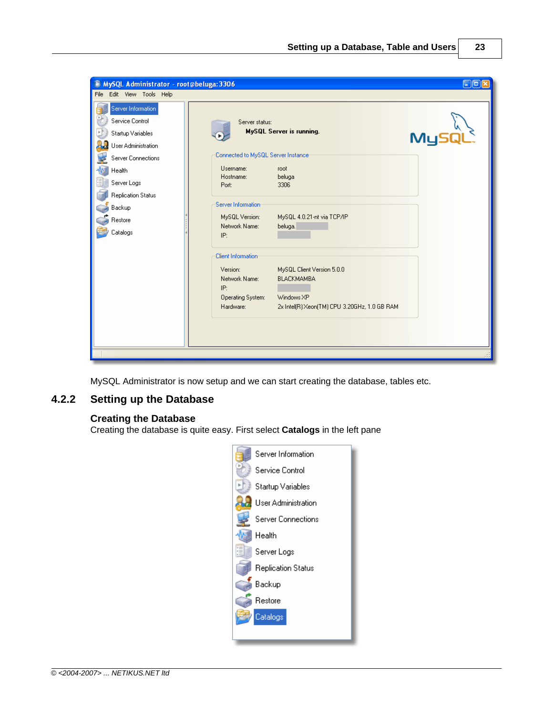| MySQL Administrator - root@beluga: 3306<br>File Edit View Tools Help                                                                                                                           |                                                                                                                                                                                                                                                            |                                                                                                                                                                                                              | $E$ or |
|------------------------------------------------------------------------------------------------------------------------------------------------------------------------------------------------|------------------------------------------------------------------------------------------------------------------------------------------------------------------------------------------------------------------------------------------------------------|--------------------------------------------------------------------------------------------------------------------------------------------------------------------------------------------------------------|--------|
| Server Information<br>Service Control<br>Startup Variables<br>User Administration<br>Server Connections<br>Health<br>Server Logs<br><b>Replication Status</b><br>Backup<br>Restore<br>Catalogs | Server status:<br>Connected to MySQL Server Instance<br>Username:<br>Hostname:<br>Port:<br>Server Information<br>MySQL Version:<br>Network Name:<br>IP:<br>Client Information<br>Version:<br>Network Name:<br>IP:<br><b>Operating System:</b><br>Hardware: | MySQL Server is running.<br>root<br>beluga<br>3306<br>MySQL 4.0.21-nt via TCP/IP<br>beluga.<br>MySQL Client Version 5.0.0<br><b>BLACKMAMBA</b><br>Windows XP<br>2x Intel(R) Xeon(TM) CPU 3.20GHz, 1.0 GB RAM | MyS    |
|                                                                                                                                                                                                |                                                                                                                                                                                                                                                            |                                                                                                                                                                                                              |        |

MySQL Administrator is now setup and we can start creating the database, tables etc.

### <span id="page-22-0"></span>**4.2.2 Setting up the Database**

### **Creating the Database**

Creating the database is quite easy. First select **Catalogs** in the left pane

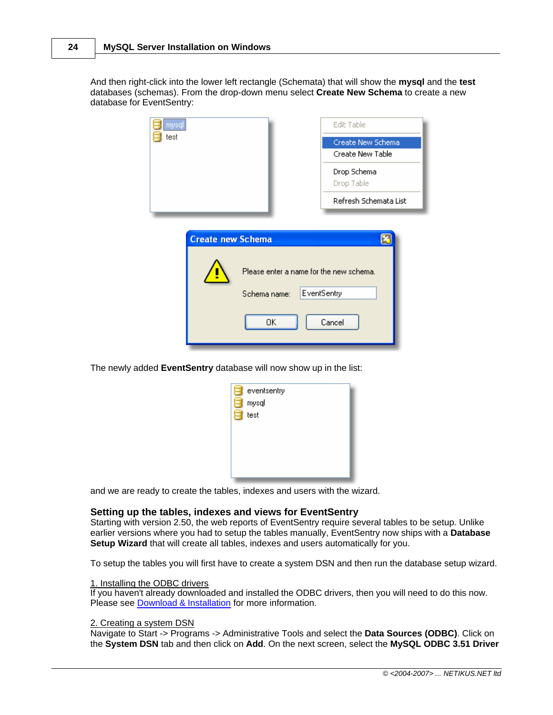And then right-click into the lower left rectangle (Schemata) that will show the **mysql** and the **test** databases (schemas). From the drop-down menu select **Create New Schema** to create a new database for EventSentry:

| mysql<br>test            |                                                               | Edit Table<br>Create New Schema<br>Create New Table |
|--------------------------|---------------------------------------------------------------|-----------------------------------------------------|
|                          |                                                               | Drop Schema<br>Drop Table                           |
|                          |                                                               | Refresh Schemata List                               |
| <b>Create new Schema</b> | Please enter a name for the new schema.<br>Schema name:<br>0K | ۱×<br>EventSentry<br>Cancel                         |

The newly added **EventSentry** database will now show up in the list:

| eventsentry |  |
|-------------|--|
| mysql       |  |
| test<br>٦   |  |
|             |  |
|             |  |
|             |  |
|             |  |
|             |  |

and we are ready to create the tables, indexes and users with the wizard.

#### **Setting up the tables, indexes and views for EventSentry**

Starting with version 2.50, the web reports of EventSentry require several tables to be setup. Unlike earlier versions where you had to setup the tables manually, EventSentry now ships with a **Database Setup Wizard** that will create all tables, indexes and users automatically for you.

To setup the tables you will first have to create a system DSN and then run the database setup wizard.

#### 1. Installing the ODBC drivers

If you haven't already downloaded and installed the ODBC drivers, then you will need to do this now. Please see [Download & Installation](#page-3-0) for more information.

### 2. Creating a system DSN

Navigate to Start -> Programs -> Administrative Tools and select the **Data Sources (ODBC)**. Click on the **System DSN** tab and then click on **Add**. On the next screen, select the **MySQL ODBC 3.51 Driver**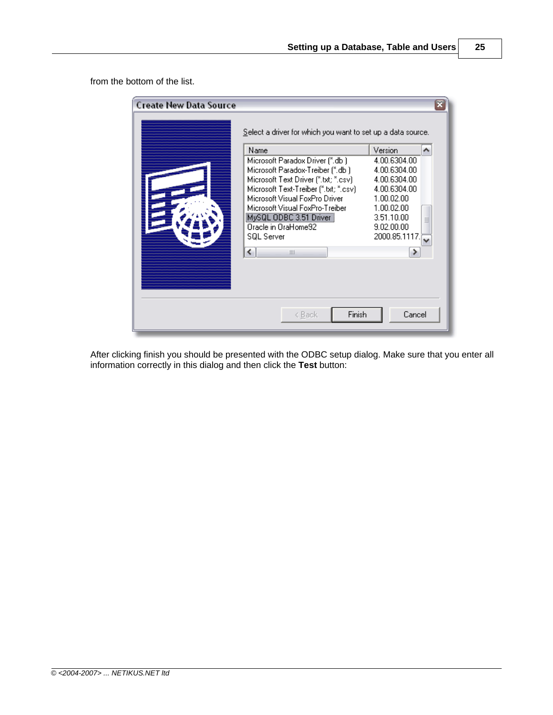from the bottom of the list.

| <b>Create New Data Source</b> | Select a driver for which you want to set up a data source.                                                                                                                                                                                                                                       |                                                                                                                                                   |  |
|-------------------------------|---------------------------------------------------------------------------------------------------------------------------------------------------------------------------------------------------------------------------------------------------------------------------------------------------|---------------------------------------------------------------------------------------------------------------------------------------------------|--|
|                               | Name                                                                                                                                                                                                                                                                                              | Version<br>ㅅ                                                                                                                                      |  |
|                               | Microsoft Paradox Driver (*.db.)<br>Microsoft Paradox-Treiber (*.db.)<br>Microsoft Text Driver (".txt; ".csv)<br>Microsoft Text-Treiber (".txt; ".csv)<br>Microsoft Visual FoxPro Driver<br>Microsoft Visual FoxPro-Treiber<br>MySQL ODBC 3.51 Driver<br>Oracle in OraHome92<br><b>SQL Server</b> | 4.00.6304.00<br>4.00.6304.00<br>4.00.6304.00<br>4.00.6304.00<br>1.00.02.00<br>1.00.02.00<br>3.51.10.00<br>$\equiv$<br>9.02.00.00<br>2000.85.1117. |  |
|                               | ↵<br>Ш<br>Finish<br>< Back                                                                                                                                                                                                                                                                        | Cancel                                                                                                                                            |  |

After clicking finish you should be presented with the ODBC setup dialog. Make sure that you enter all information correctly in this dialog and then click the **Test** button: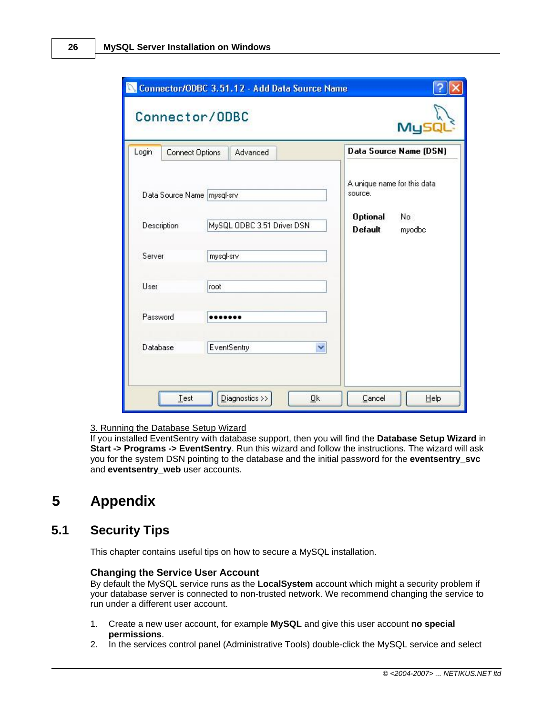|             |                              |                            |             |  | MyS                                    |                        |
|-------------|------------------------------|----------------------------|-------------|--|----------------------------------------|------------------------|
| Login       | <b>Connect Options</b>       |                            | Advanced    |  |                                        | Data Source Name (DSN) |
|             | Data Source Name   mysql-srv |                            |             |  | A unique name for this data<br>source. |                        |
| Description |                              | MySQL ODBC 3.51 Driver DSN |             |  | <b>Optional</b><br><b>Default</b>      | No.<br>myodbc          |
| Server      |                              | mysql-srv                  |             |  |                                        |                        |
| User        |                              | root                       |             |  |                                        |                        |
| Password    |                              |                            |             |  |                                        |                        |
| Database    |                              |                            | EventSentry |  |                                        |                        |

### 3. Running the Database Setup Wizard

If you installed EventSentry with database support, then you will find the **Database Setup Wizard** in **Start -> Programs -> EventSentry**. Run this wizard and follow the instructions. The wizard will ask you for the system DSN pointing to the database and the initial password for the **eventsentry\_svc** and **eventsentry** web user accounts.

# <span id="page-25-0"></span>**5 Appendix**

### **5.1 Security Tips**

This chapter contains useful tips on how to secure a MySQL installation.

#### **Changing the Service User Account**

By default the MySQL service runs as the **LocalSystem** account which might a security problem if your database server is connected to non-trusted network. We recommend changing the service to run under a different user account.

- 1. Create a new user account, for example **MySQL** and give this user account **no special permissions**.
- 2. In the services control panel (Administrative Tools) double-click the MySQL service and select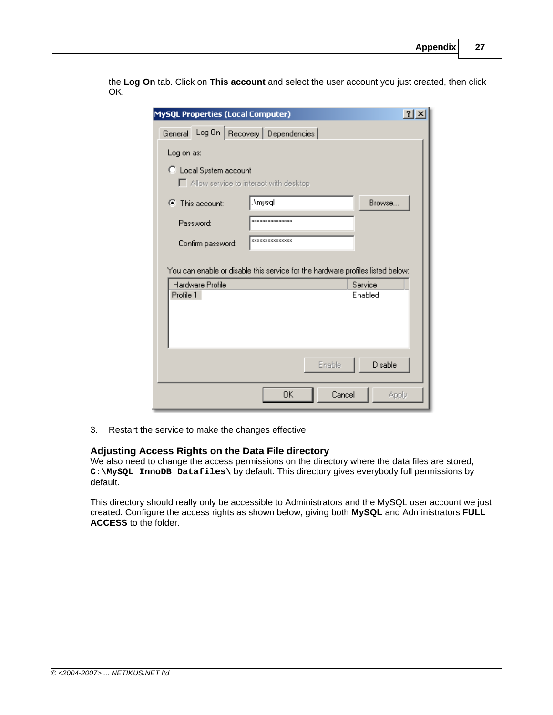the **Log On** tab. Click on **This account** and select the user account you just created, then click OK.

| <b>MySQL Properties (Local Computer)</b> |                                                                                | ?       |
|------------------------------------------|--------------------------------------------------------------------------------|---------|
| General                                  | Log On   Recovery   Dependencies                                               |         |
| Log on as:                               |                                                                                |         |
| C Local System account                   | Allow service to interact with desktop                                         |         |
| $\bullet$ This account:                  | .\mysql                                                                        | Browse. |
| Password:                                | ***************                                                                |         |
| Confirm password:                        | ***************                                                                |         |
|                                          | You can enable or disable this service for the hardware profiles listed below: |         |
| Hardware Profile                         | Service                                                                        |         |
| Profile 1                                | Enabled                                                                        |         |
|                                          | Enable                                                                         | Disable |
|                                          | 0K<br>Cancel                                                                   | Apply   |

3. Restart the service to make the changes effective

### **Adjusting Access Rights on the Data File directory**

We also need to change the access permissions on the directory where the data files are stored, **C:\MySQL InnoDB Datafiles\** by default. This directory gives everybody full permissions by default.

This directory should really only be accessible to Administrators and the MySQL user account we just created. Configure the access rights as shown below, giving both **MySQL** and Administrators **FULL ACCESS** to the folder.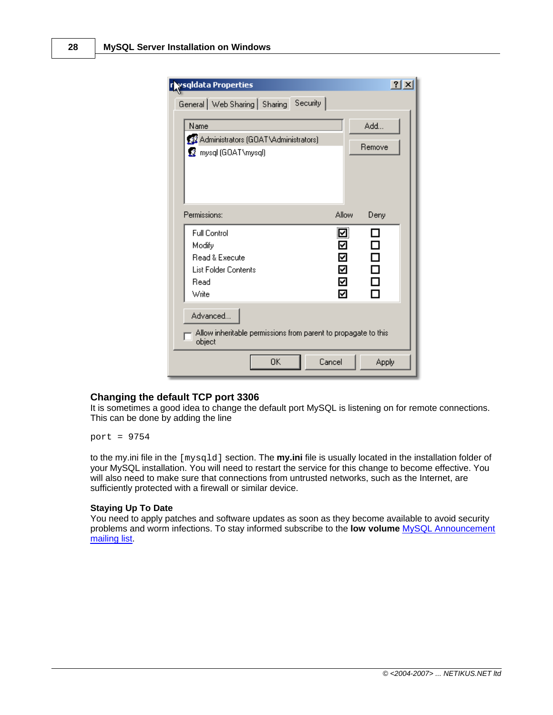| r ysgldata Properties                                                                                                  | $21 \times$                     |
|------------------------------------------------------------------------------------------------------------------------|---------------------------------|
| Security<br>General   Web Sharing   Sharing                                                                            |                                 |
| Name<br>33 Administrators (GOAT\Administrators)<br><b>B</b> mysql (GOAT\mysql)                                         | Add<br>Remove                   |
| Permissions:<br>Allow                                                                                                  | Deny                            |
| ☑<br><b>Full Control</b><br>Modify<br>☑<br>Read & Execute<br>☑<br>☑<br>List Folder Contents<br>☑<br>Read<br>☑<br>Write | П<br>□<br>□<br>$\Box$<br>П<br>П |
| Advanced<br>Allow inheritable permissions from parent to propagate to this<br>object                                   |                                 |
| 0K<br>Cancel                                                                                                           | <b>Apply</b>                    |

### **Changing the default TCP port 3306**

It is sometimes a good idea to change the default port MySQL is listening on for remote connections. This can be done by adding the line

port = 9754

to the my.ini file in the [mysqld] section. The **my.ini** file is usually located in the installation folder of your MySQL installation. You will need to restart the service for this change to become effective. You will also need to make sure that connections from untrusted networks, such as the Internet, are sufficiently protected with a firewall or similar device.

### **Staying Up To Date**

You need to apply patches and software updates as soon as they become available to avoid security problems and worm infections. To stay informed subscribe to the **low volume** [MySQL Announcement](http://lists.mysql.com/list.php?list=announce&sub=1) [mailing list.](http://lists.mysql.com/list.php?list=announce&sub=1)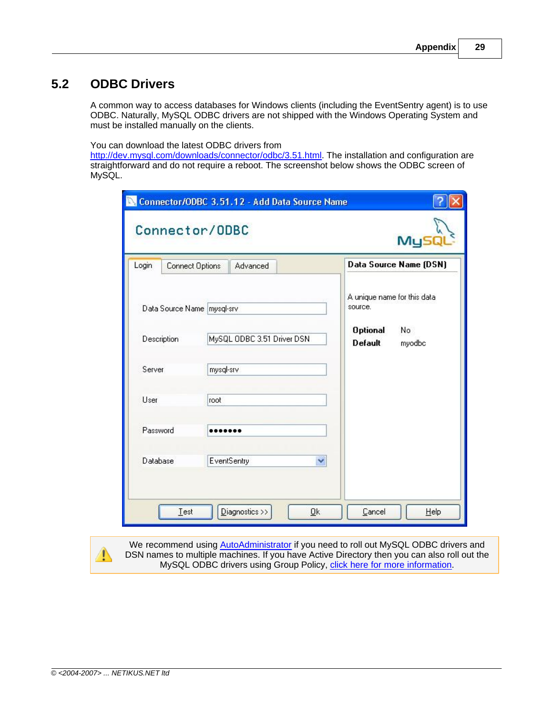# <span id="page-28-0"></span>**5.2 ODBC Drivers**

A common way to access databases for Windows clients (including the EventSentry agent) is to use ODBC. Naturally, MySQL ODBC drivers are not shipped with the Windows Operating System and must be installed manually on the clients.

You can download the latest ODBC drivers from

<http://dev.mysql.com/downloads/connector/odbc/3.51.html></u>. The installation and configuration are straightforward and do not require a reboot. The screenshot below shows the ODBC screen of MySQL.

| Login       | Connect Options              |                            | Advanced |                                   |                                        | Data Source Name (DSN) |
|-------------|------------------------------|----------------------------|----------|-----------------------------------|----------------------------------------|------------------------|
|             | Data Source Name   mysql-srv |                            |          |                                   | A unique name for this data<br>source. |                        |
| Description |                              | MySQL ODBC 3.51 Driver DSN |          | <b>Optional</b><br><b>Default</b> | No<br>myodbc                           |                        |
| Server      |                              | mysql-srv                  |          |                                   |                                        |                        |
| User        |                              | root                       |          |                                   |                                        |                        |
| Password    |                              |                            |          |                                   |                                        |                        |
| Database    |                              | EventSentry                |          |                                   |                                        |                        |

We recommend using [AutoAdministrator](http://www.netikus.net/products_autoadministrator.html) if you need to roll out MySQL ODBC drivers and DSN names to multiple machines. If you have Active Directory then you can also roll out the MySQL ODBC drivers using Group Policy, [click here for more information](http://www.netikus.net/software/eventsentry/index.html?resourcesdbtipsmysqlodbc.htm).

⚠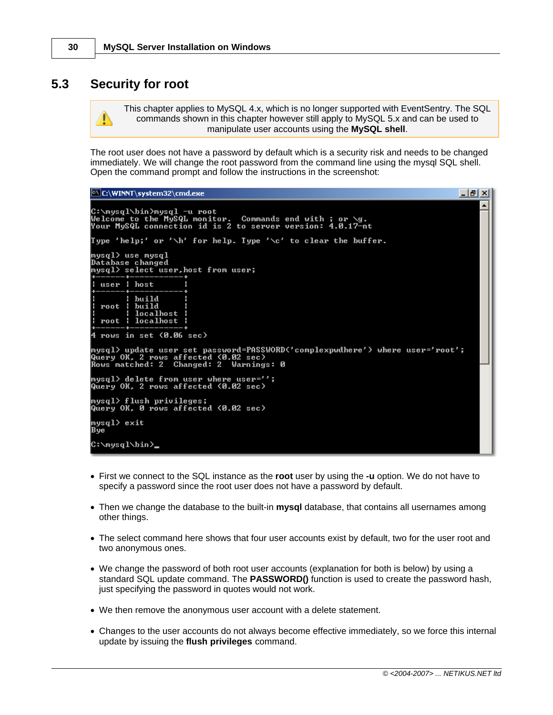### <span id="page-29-0"></span>**5.3 Security for root**

T

This chapter applies to MySQL 4.x, which is no longer supported with EventSentry. The SQL commands shown in this chapter however still apply to MySQL 5.x and can be used to manipulate user accounts using the **MySQL shell**.

The root user does not have a password by default which is a security risk and needs to be changed immediately. We will change the root password from the command line using the mysql SQL shell. Open the command prompt and follow the instructions in the screenshot:

#### **EX C:\WINNT\system32\cmd.exe**

```
▲
C:\mysql\bin>mysql -u root<br>Welcome to the MySQL monitor.  Commands end with ; or \g.<br>Your MySQL connection id is 2 to server version: 4.0.17-nt
Type 'help;' or '\h' for help. Type '\c' to clear the buffer.
mysql> use mysql<br>Database changed<br>mysql> select user,host from user;
   user : host
              build
              build<br>localhost<br>localhost
   voot
   root
           ٠
  rows in set (0.06 sec)
4
mysql> update user set password=PASSWORD('complexpwdhere') where user='root';<br>Query OK, 2 rows affected (0.02 sec)<br>Rows matched: 2  Changed: 2  Warnings: 0
mysql> delete from user where user='';
Query OK, 2 rows affected (0.02 sec)
mysql> flush privileges;<br>Query OK, 0 rows affected (0.02 sec)
mysql> exit
Bye
C:∖mysql\bin>_
```
- · First we connect to the SQL instance as the **root** user by using the **-u** option. We do not have to specify a password since the root user does not have a password by default.
- · Then we change the database to the built-in **mysql** database, that contains all usernames among other things.
- · The select command here shows that four user accounts exist by default, two for the user root and two anonymous ones.
- · We change the password of both root user accounts (explanation for both is below) by using a standard SQL update command. The **PASSWORD()** function is used to create the password hash, just specifying the password in quotes would not work.
- · We then remove the anonymous user account with a delete statement.
- · Changes to the user accounts do not always become effective immediately, so we force this internal update by issuing the **flush privileges** command.

 $-|P|X|$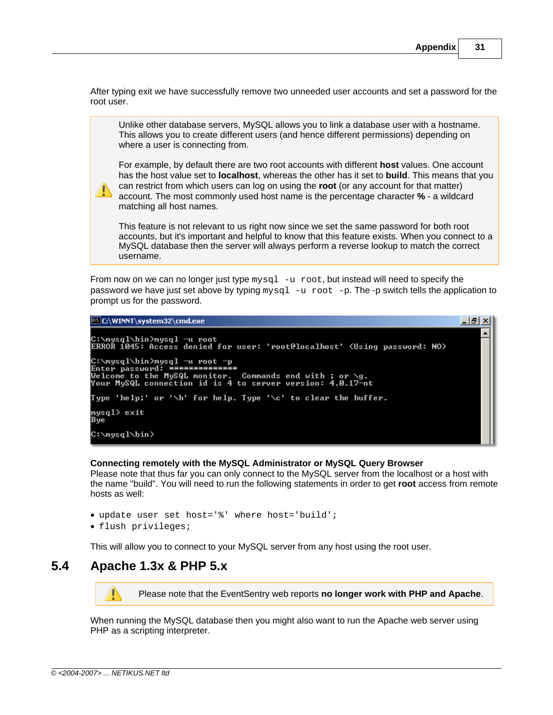After typing exit we have successfully remove two unneeded user accounts and set a password for the root user.

Unlike other database servers, MySQL allows you to link a database user with a hostname. This allows you to create different users (and hence different permissions) depending on where a user is connecting from.

For example, by default there are two root accounts with different **host** values. One account has the host value set to **localhost**, whereas the other has it set to **build**. This means that you can restrict from which users can log on using the **root** (or any account for that matter) account. The most commonly used host name is the percentage character **%** - a wildcard matching all host names.

This feature is not relevant to us right now since we set the same password for both root accounts, but it's important and helpful to know that this feature exists. When you connect to a MySQL database then the server will always perform a reverse lookup to match the correct username.

From now on we can no longer just type  $mysq1 -u$  root, but instead will need to specify the password we have just set above by typing  $mysq1 -u$  root  $-p$ . The -p switch tells the application to prompt us for the password.

C:\WINNT\system32\cmd.exe  $|B|$   $\times$ C:\mysql\bin>mysql -u root<br>ERROR 1045: Access denied for user: 'root@localhost' (Using password: NO) C:∖mysql∖bin>mysql −u root −p Enter password: \*\*\*\*\*\*\*\*\*\*\*\*\*\*<br>Welcome to the MySQL monitor. Commands end with ; or \g.<br>Your MySQL connection id is 4 to server version: 4.0.17-nt Type 'help;' or '\h' for help. Type '\c' to clear the buffer. mys $q1$ > exit Bye C:∖mysql∖bin>

#### **Connecting remotely with the MySQL Administrator or MySQL Query Browser**

Please note that thus far you can only connect to the MySQL server from the localhost or a host with the name "build". You will need to run the following statements in order to get **root** access from remote hosts as well:

- · update user set host='%' where host='build';
- · flush privileges;

This will allow you to connect to your MySQL server from any host using the root user.

### <span id="page-30-0"></span>**5.4 Apache 1.3x & PHP 5.x**

Τ Please note that the EventSentry web reports **no longer work with PHP and Apache**.

When running the MySQL database then you might also want to run the Apache web server using PHP as a scripting interpreter.